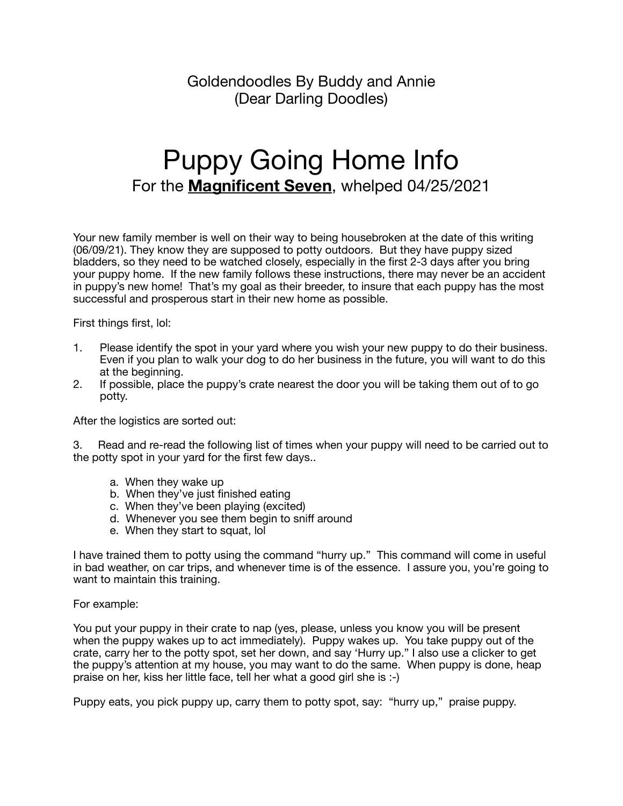Goldendoodles By Buddy and Annie (Dear Darling Doodles)

## Puppy Going Home Info For the **Magnificent Seven**, whelped 04/25/2021

Your new family member is well on their way to being housebroken at the date of this writing (06/09/21). They know they are supposed to potty outdoors. But they have puppy sized bladders, so they need to be watched closely, especially in the first 2-3 days after you bring your puppy home. If the new family follows these instructions, there may never be an accident in puppy's new home! That's my goal as their breeder, to insure that each puppy has the most successful and prosperous start in their new home as possible.

First things first, lol:

- 1. Please identify the spot in your yard where you wish your new puppy to do their business. Even if you plan to walk your dog to do her business in the future, you will want to do this at the beginning.
- 2. If possible, place the puppy's crate nearest the door you will be taking them out of to go potty.

After the logistics are sorted out:

3. Read and re-read the following list of times when your puppy will need to be carried out to the potty spot in your yard for the first few days..

- a. When they wake up
- b. When they've just finished eating
- c. When they've been playing (excited)
- d. Whenever you see them begin to sniff around
- e. When they start to squat, lol

I have trained them to potty using the command "hurry up." This command will come in useful in bad weather, on car trips, and whenever time is of the essence. I assure you, you're going to want to maintain this training.

## For example:

You put your puppy in their crate to nap (yes, please, unless you know you will be present when the puppy wakes up to act immediately). Puppy wakes up. You take puppy out of the crate, carry her to the potty spot, set her down, and say 'Hurry up." I also use a clicker to get the puppy's attention at my house, you may want to do the same. When puppy is done, heap praise on her, kiss her little face, tell her what a good girl she is :-)

Puppy eats, you pick puppy up, carry them to potty spot, say: "hurry up," praise puppy.